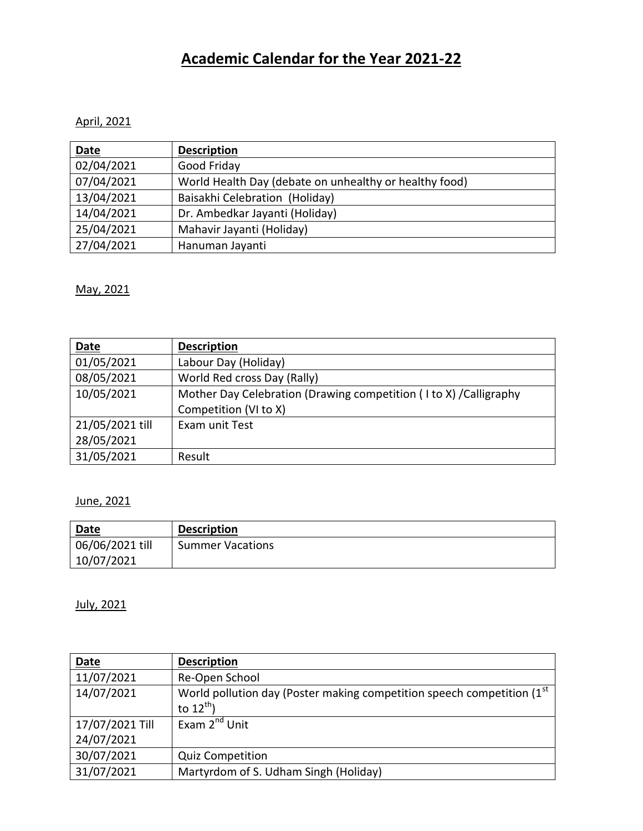# **Academic Calendar for the Year 2021-22**

## April, 2021

| Date       | <b>Description</b>                                     |
|------------|--------------------------------------------------------|
| 02/04/2021 | Good Friday                                            |
| 07/04/2021 | World Health Day (debate on unhealthy or healthy food) |
| 13/04/2021 | Baisakhi Celebration (Holiday)                         |
| 14/04/2021 | Dr. Ambedkar Jayanti (Holiday)                         |
| 25/04/2021 | Mahavir Jayanti (Holiday)                              |
| 27/04/2021 | Hanuman Jayanti                                        |

May, 2021

| Date            | <b>Description</b>                                                 |
|-----------------|--------------------------------------------------------------------|
| 01/05/2021      | Labour Day (Holiday)                                               |
| 08/05/2021      | World Red cross Day (Rally)                                        |
| 10/05/2021      | Mother Day Celebration (Drawing competition (I to X) / Calligraphy |
|                 | Competition (VI to X)                                              |
| 21/05/2021 till | Exam unit Test                                                     |
| 28/05/2021      |                                                                    |
| 31/05/2021      | Result                                                             |

## June, 2021

| <b>Date</b>     | <b>Description</b>      |
|-----------------|-------------------------|
| 06/06/2021 till | <b>Summer Vacations</b> |
| 10/07/2021      |                         |

July, 2021

| <b>Date</b>     | <b>Description</b>                                                                   |
|-----------------|--------------------------------------------------------------------------------------|
| 11/07/2021      | Re-Open School                                                                       |
| 14/07/2021      | World pollution day (Poster making competition speech competition (1 <sup>st</sup> ) |
|                 | to $12^{th}$ )                                                                       |
| 17/07/2021 Till | Exam 2 <sup>nd</sup> Unit                                                            |
| 24/07/2021      |                                                                                      |
| 30/07/2021      | <b>Quiz Competition</b>                                                              |
| 31/07/2021      | Martyrdom of S. Udham Singh (Holiday)                                                |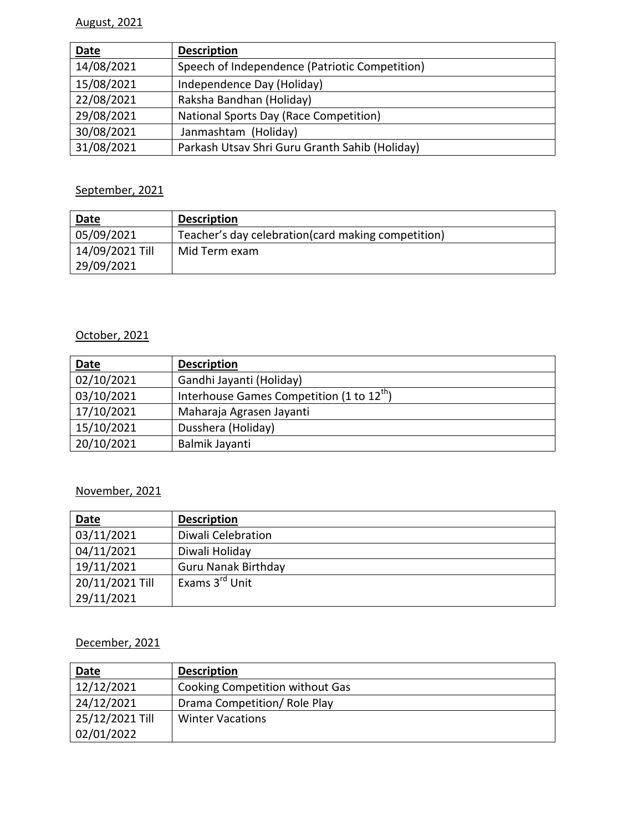## August, 2021

| <b>Date</b> | <b>Description</b>                             |
|-------------|------------------------------------------------|
| 14/08/2021  | Speech of Independence (Patriotic Competition) |
| 15/08/2021  | Independence Day (Holiday)                     |
| 22/08/2021  | Raksha Bandhan (Holiday)                       |
| 29/08/2021  | National Sports Day (Race Competition)         |
| 30/08/2021  | Janmashtam (Holiday)                           |
| 31/08/2021  | Parkash Utsav Shri Guru Granth Sahib (Holiday) |

## September, 2021

| <b>Date</b>     | <b>Description</b>                                  |
|-----------------|-----------------------------------------------------|
| 05/09/2021      | Teacher's day celebration (card making competition) |
| 14/09/2021 Till | Mid Term exam                                       |
| 29/09/2021      |                                                     |

## October, 2021

| Date       | <b>Description</b>                                    |
|------------|-------------------------------------------------------|
| 02/10/2021 | Gandhi Jayanti (Holiday)                              |
| 03/10/2021 | Interhouse Games Competition (1 to 12 <sup>th</sup> ) |
| 17/10/2021 | Maharaja Agrasen Jayanti                              |
| 15/10/2021 | Dusshera (Holiday)                                    |
| 20/10/2021 | Balmik Jayanti                                        |

#### November, 2021

| Date            | <b>Description</b>         |
|-----------------|----------------------------|
| 03/11/2021      | Diwali Celebration         |
| 04/11/2021      | Diwali Holiday             |
| 19/11/2021      | <b>Guru Nanak Birthday</b> |
| 20/11/2021 Till | Exams 3 <sup>rd</sup> Unit |
| 29/11/2021      |                            |

## December, 2021

| Date            | <b>Description</b>              |
|-----------------|---------------------------------|
| 12/12/2021      | Cooking Competition without Gas |
| 24/12/2021      | Drama Competition/ Role Play    |
| 25/12/2021 Till | <b>Winter Vacations</b>         |
| 02/01/2022      |                                 |